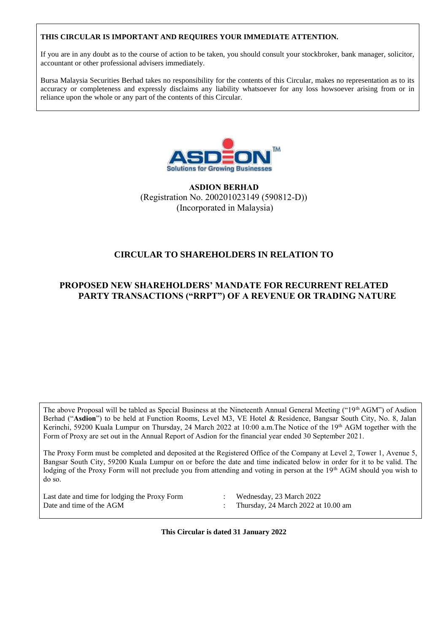# **THIS CIRCULAR IS IMPORTANT AND REQUIRES YOUR IMMEDIATE ATTENTION.**

If you are in any doubt as to the course of action to be taken, you should consult your stockbroker, bank manager, solicitor, accountant or other professional advisers immediately.

Bursa Malaysia Securities Berhad takes no responsibility for the contents of this Circular, makes no representation as to its accuracy or completeness and expressly disclaims any liability whatsoever for any loss howsoever arising from or in reliance upon the whole or any part of the contents of this Circular.



**ASDION BERHAD** (Registration No. 200201023149 (590812-D)) (Incorporated in Malaysia)

# **CIRCULAR TO SHAREHOLDERS IN RELATION TO**

# **PROPOSED NEW SHAREHOLDERS' MANDATE FOR RECURRENT RELATED PARTY TRANSACTIONS ("RRPT") OF A REVENUE OR TRADING NATURE**

The above Proposal will be tabled as Special Business at the Nineteenth Annual General Meeting ("19th AGM") of Asdion Berhad ("**Asdion**") to be held at Function Rooms, Level M3, VE Hotel & Residence, Bangsar South City, No. 8, Jalan Kerinchi, 59200 Kuala Lumpur on Thursday, 24 March 2022 at 10:00 a.m.The Notice of the 19th AGM together with the Form of Proxy are set out in the Annual Report of Asdion for the financial year ended 30 September 2021.

The Proxy Form must be completed and deposited at the Registered Office of the Company at Level 2, Tower 1, Avenue 5, Bangsar South City, 59200 Kuala Lumpur on or before the date and time indicated below in order for it to be valid. The lodging of the Proxy Form will not preclude you from attending and voting in person at the 19<sup>th</sup> AGM should you wish to do so.

Last date and time for lodging the Proxy Form : Wednesday, 23 March 2022 Date and time of the AGM : Thursday, 24 March 2022 at 10.00 am

- 
- 

**This Circular is dated 31 January 2022**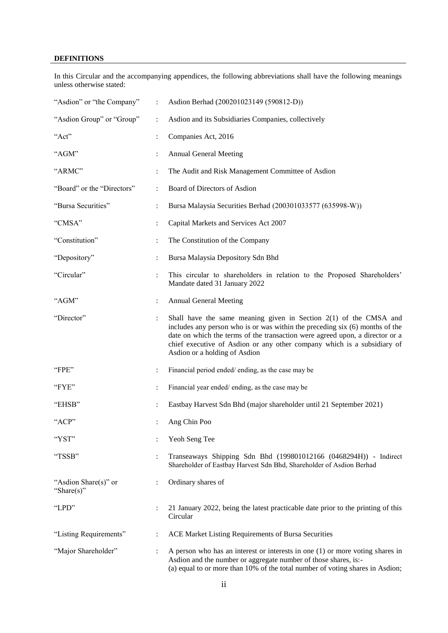# **DEFINITIONS**

In this Circular and the accompanying appendices, the following abbreviations shall have the following meanings unless otherwise stated:

| "Asdion" or "the Company"              | $\ddot{\cdot}$ | Asdion Berhad (200201023149 (590812-D))                                                                                                                                                                                                                                                                                                         |
|----------------------------------------|----------------|-------------------------------------------------------------------------------------------------------------------------------------------------------------------------------------------------------------------------------------------------------------------------------------------------------------------------------------------------|
| "Asdion Group" or "Group"              | $\ddot{\cdot}$ | Asdion and its Subsidiaries Companies, collectively                                                                                                                                                                                                                                                                                             |
| "Act"                                  |                | Companies Act, 2016                                                                                                                                                                                                                                                                                                                             |
| "AGM"                                  |                | <b>Annual General Meeting</b>                                                                                                                                                                                                                                                                                                                   |
| "ARMC"                                 | $\ddot{\cdot}$ | The Audit and Risk Management Committee of Asdion                                                                                                                                                                                                                                                                                               |
| "Board" or the "Directors"             | $\ddot{\cdot}$ | Board of Directors of Asdion                                                                                                                                                                                                                                                                                                                    |
| "Bursa Securities"                     | $\ddot{\cdot}$ | Bursa Malaysia Securities Berhad (200301033577 (635998-W))                                                                                                                                                                                                                                                                                      |
| "CMSA"                                 | :              | Capital Markets and Services Act 2007                                                                                                                                                                                                                                                                                                           |
| "Constitution"                         | $\ddot{\cdot}$ | The Constitution of the Company                                                                                                                                                                                                                                                                                                                 |
| "Depository"                           |                | Bursa Malaysia Depository Sdn Bhd                                                                                                                                                                                                                                                                                                               |
| "Circular"                             | $\ddot{\cdot}$ | This circular to shareholders in relation to the Proposed Shareholders'<br>Mandate dated 31 January 2022                                                                                                                                                                                                                                        |
| "AGM"                                  | $\ddot{\cdot}$ | <b>Annual General Meeting</b>                                                                                                                                                                                                                                                                                                                   |
| "Director"                             |                | Shall have the same meaning given in Section $2(1)$ of the CMSA and<br>includes any person who is or was within the preceding six (6) months of the<br>date on which the terms of the transaction were agreed upon, a director or a<br>chief executive of Asdion or any other company which is a subsidiary of<br>Asdion or a holding of Asdion |
| "FPE"                                  | $\ddot{\cdot}$ | Financial period ended/ending, as the case may be                                                                                                                                                                                                                                                                                               |
| "FYE"                                  | $\ddot{\cdot}$ | Financial year ended/ending, as the case may be                                                                                                                                                                                                                                                                                                 |
| "EHSB"                                 | :              | Eastbay Harvest Sdn Bhd (major shareholder until 21 September 2021)                                                                                                                                                                                                                                                                             |
| "ACP"                                  |                | Ang Chin Poo                                                                                                                                                                                                                                                                                                                                    |
| "YST"                                  |                | Yeoh Seng Tee                                                                                                                                                                                                                                                                                                                                   |
| "TSSB"                                 |                | Transeaways Shipping Sdn Bhd (199801012166 (0468294H)) - Indirect<br>Shareholder of Eastbay Harvest Sdn Bhd, Shareholder of Asdion Berhad                                                                                                                                                                                                       |
| "Asdion Share(s)" or<br>"Share $(s)$ " | :              | Ordinary shares of                                                                                                                                                                                                                                                                                                                              |
| "LPD"                                  |                | 21 January 2022, being the latest practicable date prior to the printing of this<br>Circular                                                                                                                                                                                                                                                    |
| "Listing Requirements"                 | ÷              | ACE Market Listing Requirements of Bursa Securities                                                                                                                                                                                                                                                                                             |
| "Major Shareholder"                    |                | A person who has an interest or interests in one $(1)$ or more voting shares in<br>Asdion and the number or aggregate number of those shares, is:-<br>(a) equal to or more than 10% of the total number of voting shares in Asdion;                                                                                                             |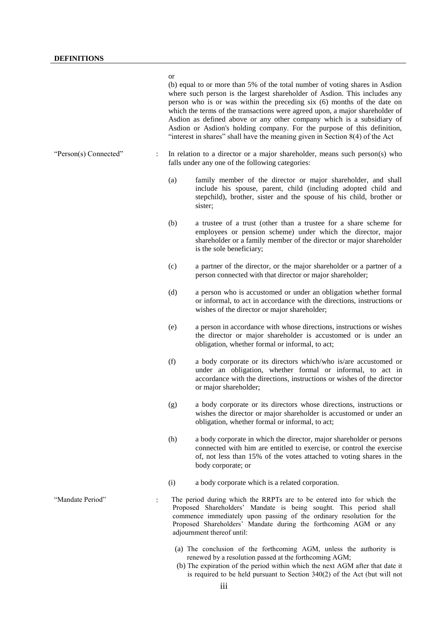#### or

(b) equal to or more than 5% of the total number of voting shares in Asdion where such person is the largest shareholder of Asdion. This includes any person who is or was within the preceding six (6) months of the date on which the terms of the transactions were agreed upon, a major shareholder of Asdion as defined above or any other company which is a subsidiary of Asdion or Asdion's holding company. For the purpose of this definition, "interest in shares" shall have the meaning given in Section 8(4) of the Act

- "Person(s) Connected" : In relation to a director or a major shareholder, means such person(s) who falls under any one of the following categories:
	- (a) family member of the director or major shareholder, and shall include his spouse, parent, child (including adopted child and stepchild), brother, sister and the spouse of his child, brother or sister;
	- (b) a trustee of a trust (other than a trustee for a share scheme for employees or pension scheme) under which the director, major shareholder or a family member of the director or major shareholder is the sole beneficiary;
	- (c) a partner of the director, or the major shareholder or a partner of a person connected with that director or major shareholder;
	- (d) a person who is accustomed or under an obligation whether formal or informal, to act in accordance with the directions, instructions or wishes of the director or major shareholder;
	- (e) a person in accordance with whose directions, instructions or wishes the director or major shareholder is accustomed or is under an obligation, whether formal or informal, to act;
	- (f) a body corporate or its directors which/who is/are accustomed or under an obligation, whether formal or informal, to act in accordance with the directions, instructions or wishes of the director or major shareholder;
	- (g) a body corporate or its directors whose directions, instructions or wishes the director or major shareholder is accustomed or under an obligation, whether formal or informal, to act;
	- (h) a body corporate in which the director, major shareholder or persons connected with him are entitled to exercise, or control the exercise of, not less than 15% of the votes attached to voting shares in the body corporate; or
	- (i) a body corporate which is a related corporation.
- "Mandate Period" : The period during which the RRPTs are to be entered into for which the Proposed Shareholders' Mandate is being sought. This period shall commence immediately upon passing of the ordinary resolution for the Proposed Shareholders' Mandate during the forthcoming AGM or any adjournment thereof until:
	- (a) The conclusion of the forthcoming AGM, unless the authority is renewed by a resolution passed at the forthcoming AGM;
	- (b) The expiration of the period within which the next AGM after that date it is required to be held pursuant to Section 340(2) of the Act (but will not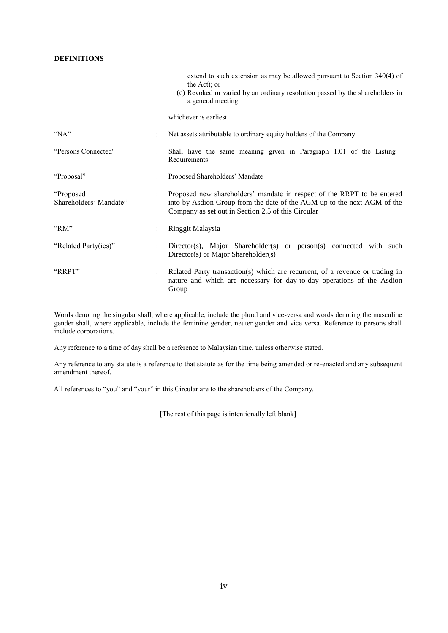# **DEFINITIONS**

|                                     |                      | extend to such extension as may be allowed pursuant to Section $340(4)$ of<br>the Act); or<br>(c) Revoked or varied by an ordinary resolution passed by the shareholders in<br>a general meeting         |
|-------------------------------------|----------------------|----------------------------------------------------------------------------------------------------------------------------------------------------------------------------------------------------------|
|                                     |                      | whichever is earliest                                                                                                                                                                                    |
| " $NA$ "                            | ٠                    | Net assets attributable to ordinary equity holders of the Company                                                                                                                                        |
| "Persons Connected"                 | $\ddot{\phantom{a}}$ | Shall have the same meaning given in Paragraph 1.01 of the Listing<br>Requirements                                                                                                                       |
| "Proposal"                          |                      | Proposed Shareholders' Mandate                                                                                                                                                                           |
| "Proposed<br>Shareholders' Mandate" |                      | Proposed new shareholders' mandate in respect of the RRPT to be entered<br>into by Asdion Group from the date of the AGM up to the next AGM of the<br>Company as set out in Section 2.5 of this Circular |
| "RM"                                |                      | Ringgit Malaysia                                                                                                                                                                                         |
| "Related Party(ies)"                |                      | Director(s), Major Shareholder(s) or person(s) connected with such<br>Director(s) or Major Shareholder(s)                                                                                                |
| "RRPT"                              | $\ddot{\phantom{a}}$ | Related Party transaction(s) which are recurrent, of a revenue or trading in<br>nature and which are necessary for day-to-day operations of the Asdion<br>Group                                          |

Words denoting the singular shall, where applicable, include the plural and vice-versa and words denoting the masculine gender shall, where applicable, include the feminine gender, neuter gender and vice versa. Reference to persons shall include corporations.

Any reference to a time of day shall be a reference to Malaysian time, unless otherwise stated.

Any reference to any statute is a reference to that statute as for the time being amended or re-enacted and any subsequent amendment thereof.

All references to "you" and "your" in this Circular are to the shareholders of the Company.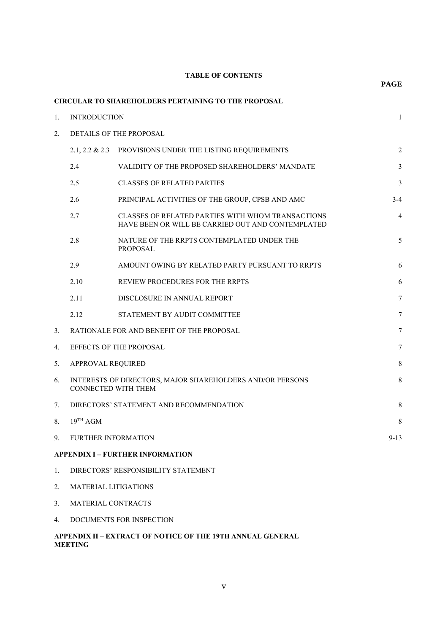# **TABLE OF CONTENTS**

**PAGE**

|    |                            | <b>CIRCULAR TO SHAREHOLDERS PERTAINING TO THE PROPOSAL</b>                                             |                |  |  |
|----|----------------------------|--------------------------------------------------------------------------------------------------------|----------------|--|--|
| 1. | <b>INTRODUCTION</b>        |                                                                                                        |                |  |  |
| 2. | DETAILS OF THE PROPOSAL    |                                                                                                        |                |  |  |
|    |                            | 2.1, 2.2 & 2.3 PROVISIONS UNDER THE LISTING REQUIREMENTS                                               | $\sqrt{2}$     |  |  |
|    | 2.4                        | VALIDITY OF THE PROPOSED SHAREHOLDERS' MANDATE                                                         | 3              |  |  |
|    | 2.5                        | <b>CLASSES OF RELATED PARTIES</b>                                                                      | $\mathfrak{Z}$ |  |  |
|    | 2.6                        | PRINCIPAL ACTIVITIES OF THE GROUP, CPSB AND AMC                                                        | $3-4$          |  |  |
|    | 2.7                        | CLASSES OF RELATED PARTIES WITH WHOM TRANSACTIONS<br>HAVE BEEN OR WILL BE CARRIED OUT AND CONTEMPLATED | 4              |  |  |
|    | 2.8                        | NATURE OF THE RRPTS CONTEMPLATED UNDER THE<br><b>PROPOSAL</b>                                          | 5              |  |  |
|    | 2.9                        | AMOUNT OWING BY RELATED PARTY PURSUANT TO RRPTS                                                        | 6              |  |  |
|    | 2.10                       | REVIEW PROCEDURES FOR THE RRPTS                                                                        | 6              |  |  |
|    | 2.11                       | DISCLOSURE IN ANNUAL REPORT                                                                            | 7              |  |  |
|    | 2.12                       | STATEMENT BY AUDIT COMMITTEE                                                                           | 7              |  |  |
| 3. |                            | RATIONALE FOR AND BENEFIT OF THE PROPOSAL                                                              | 7              |  |  |
| 4. |                            | EFFECTS OF THE PROPOSAL                                                                                | $\tau$         |  |  |
| 5. | APPROVAL REQUIRED          |                                                                                                        | $8\,$          |  |  |
| 6. | CONNECTED WITH THEM        | INTERESTS OF DIRECTORS, MAJOR SHAREHOLDERS AND/OR PERSONS                                              | $\,$ 8 $\,$    |  |  |
| 7. |                            | DIRECTORS' STATEMENT AND RECOMMENDATION                                                                | $\,$ 8 $\,$    |  |  |
| 8. | $19^{TH}$ AGM              |                                                                                                        | 8              |  |  |
| 9. | <b>FURTHER INFORMATION</b> |                                                                                                        | $9-13$         |  |  |
|    |                            | <b>APPENDIX I – FURTHER INFORMATION</b>                                                                |                |  |  |
| 1. |                            | DIRECTORS' RESPONSIBILITY STATEMENT                                                                    |                |  |  |
| 2. | MATERIAL LITIGATIONS       |                                                                                                        |                |  |  |
|    |                            |                                                                                                        |                |  |  |

- 3. MATERIAL CONTRACTS
- 4. DOCUMENTS FOR INSPECTION

# **APPENDIX II – EXTRACT OF NOTICE OF THE 19TH ANNUAL GENERAL MEETING**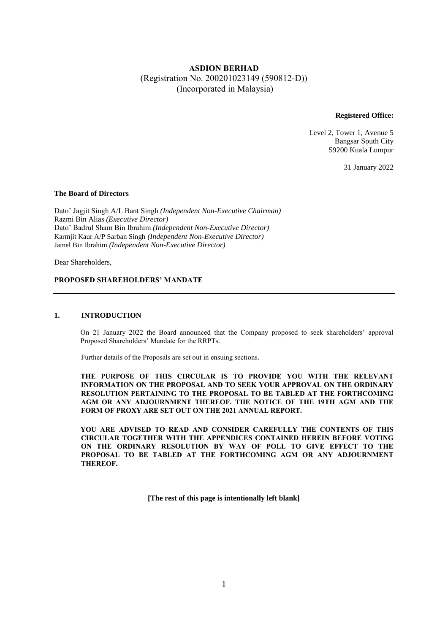# **ASDION BERHAD** (Registration No. 200201023149 (590812-D)) (Incorporated in Malaysia)

**Registered Office:**

Level 2, Tower 1, Avenue 5 Bangsar South City 59200 Kuala Lumpur

31 January 2022

## **The Board of Directors**

Dato' Jagjit Singh A/L Bant Singh *(Independent Non-Executive Chairman)* Razmi Bin Alias *(Executive Director)* Dato' Badrul Sham Bin Ibrahim *(Independent Non-Executive Director)* Karmjit Kaur A/P Sarban Singh *(Independent Non-Executive Director)* Jamel Bin Ibrahim *(Independent Non-Executive Director)*

Dear Shareholders,

## **PROPOSED SHAREHOLDERS' MANDATE**

#### **1. INTRODUCTION**

On 21 January 2022 the Board announced that the Company proposed to seek shareholders' approval Proposed Shareholders' Mandate for the RRPTs.

Further details of the Proposals are set out in ensuing sections.

**THE PURPOSE OF THIS CIRCULAR IS TO PROVIDE YOU WITH THE RELEVANT INFORMATION ON THE PROPOSAL AND TO SEEK YOUR APPROVAL ON THE ORDINARY RESOLUTION PERTAINING TO THE PROPOSAL TO BE TABLED AT THE FORTHCOMING AGM OR ANY ADJOURNMENT THEREOF. THE NOTICE OF THE 19TH AGM AND THE FORM OF PROXY ARE SET OUT ON THE 2021 ANNUAL REPORT.** 

**YOU ARE ADVISED TO READ AND CONSIDER CAREFULLY THE CONTENTS OF THIS CIRCULAR TOGETHER WITH THE APPENDICES CONTAINED HEREIN BEFORE VOTING ON THE ORDINARY RESOLUTION BY WAY OF POLL TO GIVE EFFECT TO THE PROPOSAL TO BE TABLED AT THE FORTHCOMING AGM OR ANY ADJOURNMENT THEREOF.**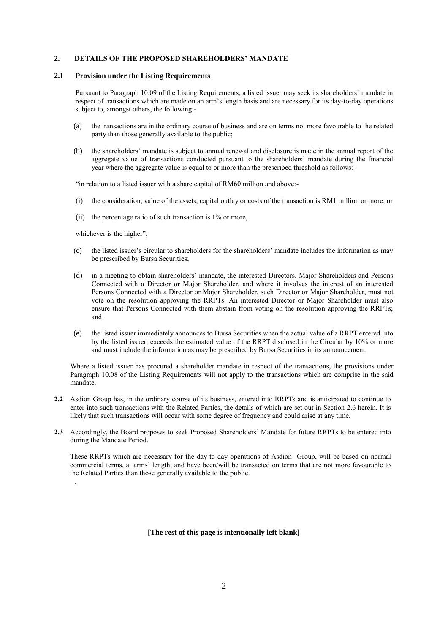### **2. DETAILS OF THE PROPOSED SHAREHOLDERS' MANDATE**

#### **2.1 Provision under the Listing Requirements**

Pursuant to Paragraph 10.09 of the Listing Requirements, a listed issuer may seek its shareholders' mandate in respect of transactions which are made on an arm's length basis and are necessary for its day-to-day operations subject to, amongst others, the following:-

- (a) the transactions are in the ordinary course of business and are on terms not more favourable to the related party than those generally available to the public;
- (b) the shareholders' mandate is subject to annual renewal and disclosure is made in the annual report of the aggregate value of transactions conducted pursuant to the shareholders' mandate during the financial year where the aggregate value is equal to or more than the prescribed threshold as follows:-

"in relation to a listed issuer with a share capital of RM60 million and above:-

- (i) the consideration, value of the assets, capital outlay or costs of the transaction is RM1 million or more; or
- (ii) the percentage ratio of such transaction is 1% or more,

whichever is the higher";

.

- (c) the listed issuer's circular to shareholders for the shareholders' mandate includes the information as may be prescribed by Bursa Securities;
- (d) in a meeting to obtain shareholders' mandate, the interested Directors, Major Shareholders and Persons Connected with a Director or Major Shareholder, and where it involves the interest of an interested Persons Connected with a Director or Major Shareholder, such Director or Major Shareholder, must not vote on the resolution approving the RRPTs. An interested Director or Major Shareholder must also ensure that Persons Connected with them abstain from voting on the resolution approving the RRPTs; and
- (e) the listed issuer immediately announces to Bursa Securities when the actual value of a RRPT entered into by the listed issuer, exceeds the estimated value of the RRPT disclosed in the Circular by 10% or more and must include the information as may be prescribed by Bursa Securities in its announcement.

Where a listed issuer has procured a shareholder mandate in respect of the transactions, the provisions under Paragraph 10.08 of the Listing Requirements will not apply to the transactions which are comprise in the said mandate.

- **2.2** Asdion Group has, in the ordinary course of its business, entered into RRPTs and is anticipated to continue to enter into such transactions with the Related Parties, the details of which are set out in Section 2.6 herein. It is likely that such transactions will occur with some degree of frequency and could arise at any time.
- **2.3** Accordingly, the Board proposes to seek Proposed Shareholders' Mandate for future RRPTs to be entered into during the Mandate Period.

These RRPTs which are necessary for the day-to-day operations of Asdion Group, will be based on normal commercial terms, at arms' length, and have been/will be transacted on terms that are not more favourable to the Related Parties than those generally available to the public.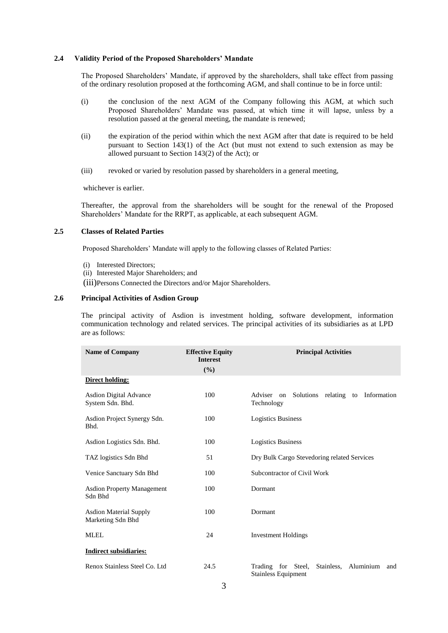#### **2.4 Validity Period of the Proposed Shareholders' Mandate**

The Proposed Shareholders' Mandate, if approved by the shareholders, shall take effect from passing of the ordinary resolution proposed at the forthcoming AGM, and shall continue to be in force until:

- (i) the conclusion of the next AGM of the Company following this AGM, at which such Proposed Shareholders' Mandate was passed, at which time it will lapse, unless by a resolution passed at the general meeting, the mandate is renewed;
- (ii) the expiration of the period within which the next AGM after that date is required to be held pursuant to Section 143(1) of the Act (but must not extend to such extension as may be allowed pursuant to Section 143(2) of the Act); or
- (iii) revoked or varied by resolution passed by shareholders in a general meeting,

whichever is earlier.

Thereafter, the approval from the shareholders will be sought for the renewal of the Proposed Shareholders' Mandate for the RRPT, as applicable, at each subsequent AGM.

# **2.5 Classes of Related Parties**

Proposed Shareholders' Mandate will apply to the following classes of Related Parties:

- (i) Interested Directors;
- (ii) Interested Major Shareholders; and
- (iii)Persons Connected the Directors and/or Major Shareholders.

## **2.6 Principal Activities of Asdion Group**

The principal activity of Asdion is investment holding, software development, information communication technology and related services. The principal activities of its subsidiaries as at LPD are as follows:

| <b>Name of Company</b>                             | <b>Effective Equity</b><br><b>Interest</b><br>$(\%)$ | <b>Principal Activities</b>                                                 |  |  |  |
|----------------------------------------------------|------------------------------------------------------|-----------------------------------------------------------------------------|--|--|--|
| <b>Direct holding:</b>                             |                                                      |                                                                             |  |  |  |
| <b>Asdion Digital Advance</b><br>System Sdn. Bhd.  | 100                                                  | Information<br>Adviser on<br>Solutions relating to<br>Technology            |  |  |  |
| Asdion Project Synergy Sdn.<br>Bhd.                | 100                                                  | <b>Logistics Business</b>                                                   |  |  |  |
| Asdion Logistics Sdn. Bhd.                         | 100                                                  | <b>Logistics Business</b>                                                   |  |  |  |
| TAZ logistics Sdn Bhd                              | 51                                                   | Dry Bulk Cargo Stevedoring related Services                                 |  |  |  |
| Venice Sanctuary Sdn Bhd                           | 100                                                  | Subcontractor of Civil Work                                                 |  |  |  |
| <b>Asdion Property Management</b><br>Sdn Bhd       | 100                                                  | Dormant                                                                     |  |  |  |
| <b>Asdion Material Supply</b><br>Marketing Sdn Bhd | 100                                                  | Dormant                                                                     |  |  |  |
| <b>MLEL</b>                                        | 24                                                   | <b>Investment Holdings</b>                                                  |  |  |  |
| <b>Indirect subsidiaries:</b>                      |                                                      |                                                                             |  |  |  |
| Renox Stainless Steel Co. Ltd                      | 24.5                                                 | Aluminium<br>Trading for Steel,<br>Stainless,<br>and<br>Stainless Equipment |  |  |  |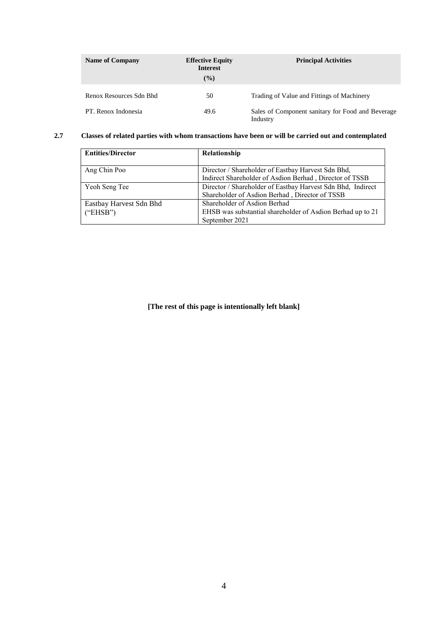| <b>Name of Company</b>  | <b>Effective Equity</b><br><b>Interest</b><br>$\frac{9}{6}$ | <b>Principal Activities</b>                                   |
|-------------------------|-------------------------------------------------------------|---------------------------------------------------------------|
| Renox Resources Sdn Bhd | 50                                                          | Trading of Value and Fittings of Machinery                    |
| PT. Renox Indonesia     | 49.6                                                        | Sales of Component sanitary for Food and Beverage<br>Industry |

# **2.7 Classes of related parties with whom transactions have been or will be carried out and contemplated**

| <b>Entities/Director</b> | Relationship                                                |
|--------------------------|-------------------------------------------------------------|
| Ang Chin Poo             | Director / Shareholder of Eastbay Harvest Sdn Bhd,          |
|                          | Indirect Shareholder of Asdion Berhad, Director of TSSB     |
| Yeoh Seng Tee            | Director / Shareholder of Eastbay Harvest Sdn Bhd, Indirect |
|                          | Shareholder of Asdion Berhad, Director of TSSB              |
| Eastbay Harvest Sdn Bhd  | Shareholder of Asdion Berhad                                |
| ("EHSB")                 | EHSB was substantial shareholder of Asdion Berhad up to 21  |
|                          | September 2021                                              |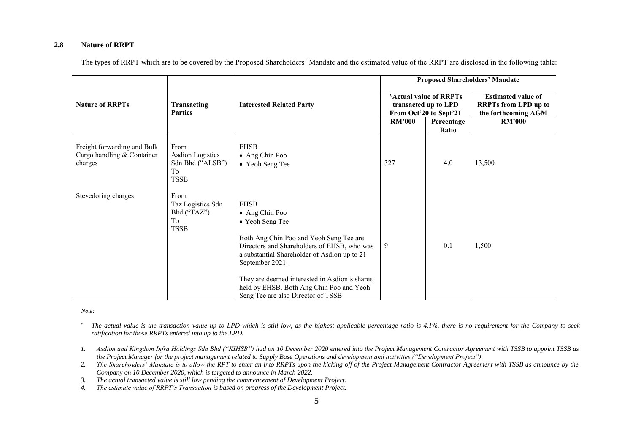# **2.8 Nature of RRPT**

|                                                                      |                                                                          |                                                                                                                                                                                                                                                                                                                                                  | <b>Proposed Shareholders' Mandate</b>                                    |                     |                                                                                 |  |
|----------------------------------------------------------------------|--------------------------------------------------------------------------|--------------------------------------------------------------------------------------------------------------------------------------------------------------------------------------------------------------------------------------------------------------------------------------------------------------------------------------------------|--------------------------------------------------------------------------|---------------------|---------------------------------------------------------------------------------|--|
| <b>Nature of RRPTs</b>                                               | Transacting<br><b>Parties</b>                                            | <b>Interested Related Party</b>                                                                                                                                                                                                                                                                                                                  | *Actual value of RRPTs<br>transacted up to LPD<br>From Oct'20 to Sept'21 |                     | <b>Estimated value of</b><br><b>RRPTs</b> from LPD up to<br>the forthcoming AGM |  |
|                                                                      |                                                                          |                                                                                                                                                                                                                                                                                                                                                  | <b>RM'000</b>                                                            | Percentage<br>Ratio | <b>RM'000</b>                                                                   |  |
| Freight forwarding and Bulk<br>Cargo handling & Container<br>charges | From<br><b>Asdion Logistics</b><br>Sdn Bhd ("ALSB")<br>To<br><b>TSSB</b> | <b>EHSB</b><br>• Ang Chin Poo<br>• Yeoh Seng Tee                                                                                                                                                                                                                                                                                                 | 327                                                                      | 4.0                 | 13,500                                                                          |  |
| Stevedoring charges                                                  | From<br>Taz Logistics Sdn<br>Bhd ("TAZ")<br>To<br><b>TSSB</b>            | <b>EHSB</b><br>• Ang Chin Poo<br>• Yeoh Seng Tee<br>Both Ang Chin Poo and Yeoh Seng Tee are<br>Directors and Shareholders of EHSB, who was<br>a substantial Shareholder of Asdion up to 21<br>September 2021.<br>They are deemed interested in Asdion's shares<br>held by EHSB. Both Ang Chin Poo and Yeoh<br>Seng Tee are also Director of TSSB | 9                                                                        | 0.1                 | 1,500                                                                           |  |

The types of RRPT which are to be covered by the Proposed Shareholders' Mandate and the estimated value of the RRPT are disclosed in the following table:

*Note:*

<sup>\*</sup> The actual value is the transaction value up to LPD which is still low, as the highest applicable percentage ratio is 4.1%, there is no requirement for the Company to seek *ratification for those RRPTs entered into up to the LPD.*

- *1. Asdion and Kingdom Infra Holdings Sdn Bhd ("KIHSB") had on 10 December 2020 entered into the Project Management Contractor Agreement with TSSB to appoint TSSB as the Project Manager for the project management related to Supply Base Operations and development and activities ("Development Project").*
- *2. The Shareholders' Mandate is to allow the RPT to enter an into RRPTs upon the kicking off of the Project Management Contractor Agreement with TSSB as announce by the Company on 10 December 2020, which is targeted to announce in March 2022.*
- *3. The actual transacted value is still low pending the commencement of Development Project.*
- *4. The estimate value of RRPT's Transaction is based on progress of the Development Project.*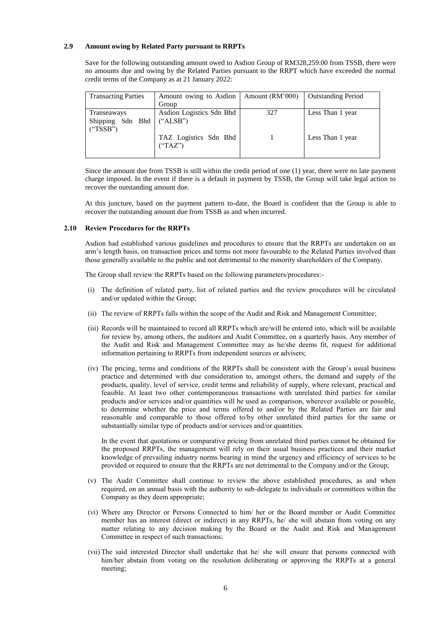#### **2.9 Amount owing by Related Party pursuant to RRPTs**

Save for the following outstanding amount owed to Asdion Group of RM328,259.00 from TSSB, there were no amounts due and owing by the Related Parties pursuant to the RRPT which have exceeded the normal credit terms of the Company as at 21 January 2022:

| <b>Transacting Parties</b> | Amount owing to Asdion   | Amount (RM'000) | <b>Outstanding Period</b> |
|----------------------------|--------------------------|-----------------|---------------------------|
|                            | Group                    |                 |                           |
| Transeaways                | Asdion Logistics Sdn Bhd | 327             | Less Than 1 year          |
| Shipping Sdn Bhd           | $(*ALSB")$               |                 |                           |
| ("TSSB")                   |                          |                 |                           |
|                            | TAZ Logistics Sdn Bhd    |                 | Less Than 1 year          |
|                            | ("TAZ")                  |                 |                           |
|                            |                          |                 |                           |

Since the amount due from TSSB is still within the credit period of one (1) year, there were no late payment charge imposed. In the event if there is a default in payment by TSSB, the Group will take legal action to recover the outstanding amount due.

At this juncture, based on the payment pattern to-date, the Board is confident that the Group is able to recover the outstanding amount due from TSSB as and when incurred.

#### **2.10 Review Procedures for the RRPTs**

Asdion had established various guidelines and procedures to ensure that the RRPTs are undertaken on an arm's length basis, on transaction prices and terms not more favourable to the Related Parties involved than those generally available to the public and not detrimental to the minority shareholders of the Company.

The Group shall review the RRPTs based on the following parameters/procedures:-

- (i) The definition of related party, list of related parties and the review procedures will be circulated and/or updated within the Group;
- (ii) The review of RRPTs falls within the scope of the Audit and Risk and Management Committee;
- (iii) Records will be maintained to record all RRPTs which are/will be entered into, which will be available for review by, among others, the auditors and Audit Committee, on a quarterly basis. Any member of the Audit and Risk and Management Committee may as he/she deems fit, request for additional information pertaining to RRPTs from independent sources or advisers;
- (iv) The pricing, terms and conditions of the RRPTs shall be consistent with the Group's usual business practice and determined with due consideration to, amongst others, the demand and supply of the products, quality, level of service, credit terms and reliability of supply, where relevant, practical and feasible. At least two other contemporaneous transactions with unrelated third parties for similar products and/or services and/or quantities will be used as comparison, wherever available or possible, to determine whether the price and terms offered to and/or by the Related Parties are fair and reasonable and comparable to those offered to/by other unrelated third parties for the same or substantially similar type of products and/or services and/or quantities.

In the event that quotations or comparative pricing from unrelated third parties cannot be obtained for the proposed RRPTs, the management will rely on their usual business practices and their market knowledge of prevailing industry norms bearing in mind the urgency and efficiency of services to be provided or required to ensure that the RRPTs are not detrimental to the Company and/or the Group;

- (v) The Audit Committee shall continue to review the above established procedures, as and when required, on an annual basis with the authority to sub-delegate to individuals or committees within the Company as they deem appropriate;
- (vi) Where any Director or Persons Connected to him/ her or the Board member or Audit Committee member has an interest (direct or indirect) in any RRPTs, he/ she will abstain from voting on any matter relating to any decision making by the Board or the Audit and Risk and Management Committee in respect of such transactions;
- (vii) The said interested Director shall undertake that he/ she will ensure that persons connected with him/her abstain from voting on the resolution deliberating or approving the RRPTs at a general meeting;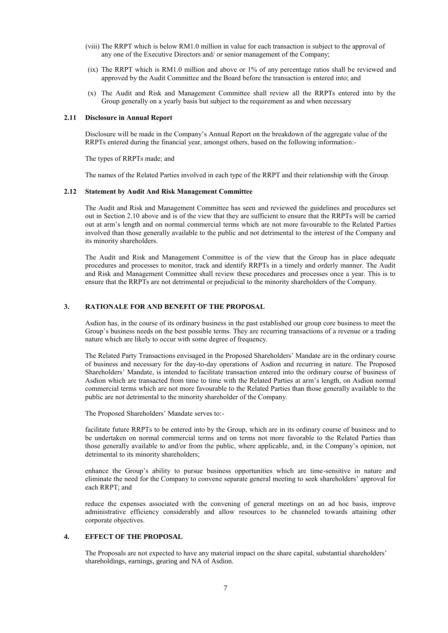- (viii) The RRPT which is below RM1.0 million in value for each transaction is subject to the approval of any one of the Executive Directors and/ or senior management of the Company;
- (ix) The RRPT which is RM1.0 million and above or 1% of any percentage ratios shall be reviewed and approved by the Audit Committee and the Board before the transaction is entered into; and
- (x) The Audit and Risk and Management Committee shall review all the RRPTs entered into by the Group generally on a yearly basis but subject to the requirement as and when necessary

#### **2.11 Disclosure in Annual Report**

Disclosure will be made in the Company's Annual Report on the breakdown of the aggregate value of the RRPTs entered during the financial year, amongst others, based on the following information:-

The types of RRPTs made; and

The names of the Related Parties involved in each type of the RRPT and their relationship with the Group.

#### **2.12 Statement by Audit And Risk Management Committee**

The Audit and Risk and Management Committee has seen and reviewed the guidelines and procedures set out in Section 2.10 above and is of the view that they are sufficient to ensure that the RRPTs will be carried out at arm's length and on normal commercial terms which are not more favourable to the Related Parties involved than those generally available to the public and not detrimental to the interest of the Company and its minority shareholders.

The Audit and Risk and Management Committee is of the view that the Group has in place adequate procedures and processes to monitor, track and identify RRPTs in a timely and orderly manner. The Audit and Risk and Management Committee shall review these procedures and processes once a year. This is to ensure that the RRPTs are not detrimental or prejudicial to the minority shareholders of the Company.

## **3. RATIONALE FOR AND BENEFIT OF THE PROPOSAL**

Asdion has, in the course of its ordinary business in the past established our group core business to meet the Group's business needs on the best possible terms. They are recurring transactions of a revenue or a trading nature which are likely to occur with some degree of frequency.

The Related Party Transactions envisaged in the Proposed Shareholders' Mandate are in the ordinary course of business and necessary for the day-to-day operations of Asdion and recurring in nature. The Proposed Shareholders' Mandate, is intended to facilitate transaction entered into the ordinary course of business of Asdion which are transacted from time to time with the Related Parties at arm's length, on Asdion normal commercial terms which are not more favourable to the Related Parties than those generally available to the public are not detrimental to the minority shareholder of the Company.

The Proposed Shareholders' Mandate serves to:-

facilitate future RRPTs to be entered into by the Group, which are in its ordinary course of business and to be undertaken on normal commercial terms and on terms not more favorable to the Related Parties than those generally available to and/or from the public, where applicable, and, in the Company's opinion, not detrimental to its minority shareholders;

enhance the Group's ability to pursue business opportunities which are time-sensitive in nature and eliminate the need for the Company to convene separate general meeting to seek shareholders' approval for each RRPT; and

reduce the expenses associated with the convening of general meetings on an ad hoc basis, improve administrative efficiency considerably and allow resources to be channeled towards attaining other corporate objectives.

#### **4. EFFECT OF THE PROPOSAL**

The Proposals are not expected to have any material impact on the share capital, substantial shareholders' shareholdings, earnings, gearing and NA of Asdion.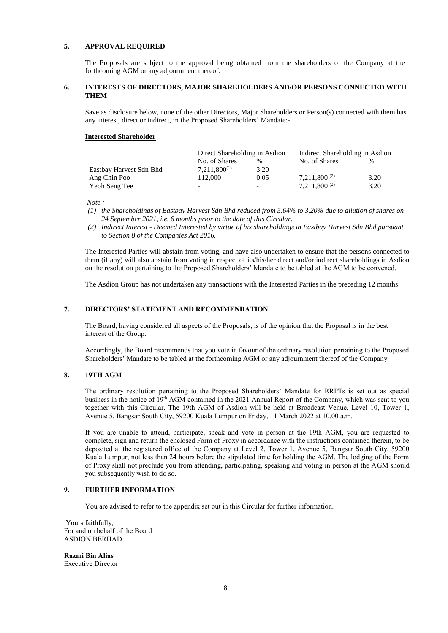#### **5. APPROVAL REQUIRED**

The Proposals are subject to the approval being obtained from the shareholders of the Company at the forthcoming AGM or any adjournment thereof.

# **6. INTERESTS OF DIRECTORS, MAJOR SHAREHOLDERS AND/OR PERSONS CONNECTED WITH THEM**

Save as disclosure below, none of the other Directors, Major Shareholders or Person(s) connected with them has any interest, direct or indirect, in the Proposed Shareholders' Mandate:-

#### **Interested Shareholder**

|                         | Direct Shareholding in Asdion |      | Indirect Shareholding in Asdion |               |  |
|-------------------------|-------------------------------|------|---------------------------------|---------------|--|
|                         | No. of Shares                 | %    | No. of Shares                   | $\frac{0}{0}$ |  |
| Eastbay Harvest Sdn Bhd | $7.211.800^{(1)}$             | 3.20 |                                 |               |  |
| Ang Chin Poo            | 112.000                       | 0.05 | $7.211,800^{(2)}$               | 3.20          |  |
| Yeoh Seng Tee           | -                             | -    | $7.211,800^{(2)}$               | 3.20          |  |

*Note :* 

- *(1) the Shareholdings of Eastbay Harvest Sdn Bhd reduced from 5.64% to 3.20% due to dilution of shares on 24 September 2021, i.e. 6 months prior to the date of this Circular.*
- *(2) Indirect Interest - Deemed Interested by virtue of his shareholdings in Eastbay Harvest Sdn Bhd pursuant to Section 8 of the Companies Act 2016.*

The Interested Parties will abstain from voting, and have also undertaken to ensure that the persons connected to them (if any) will also abstain from voting in respect of its/his/her direct and/or indirect shareholdings in Asdion on the resolution pertaining to the Proposed Shareholders' Mandate to be tabled at the AGM to be convened.

The Asdion Group has not undertaken any transactions with the Interested Parties in the preceding 12 months.

# **7. DIRECTORS' STATEMENT AND RECOMMENDATION**

The Board, having considered all aspects of the Proposals, is of the opinion that the Proposal is in the best interest of the Group.

Accordingly, the Board recommends that you vote in favour of the ordinary resolution pertaining to the Proposed Shareholders' Mandate to be tabled at the forthcoming AGM or any adjournment thereof of the Company.

# **8. 19TH AGM**

The ordinary resolution pertaining to the Proposed Shareholders' Mandate for RRPTs is set out as special business in the notice of 19th AGM contained in the 2021 Annual Report of the Company, which was sent to you together with this Circular. The 19th AGM of Asdion will be held at Broadcast Venue, Level 10, Tower 1, Avenue 5, Bangsar South City, 59200 Kuala Lumpur on Friday, 11 March 2022 at 10.00 a.m.

If you are unable to attend, participate, speak and vote in person at the 19th AGM, you are requested to complete, sign and return the enclosed Form of Proxy in accordance with the instructions contained therein, to be deposited at the registered office of the Company at Level 2, Tower 1, Avenue 5, Bangsar South City, 59200 Kuala Lumpur, not less than 24 hours before the stipulated time for holding the AGM. The lodging of the Form of Proxy shall not preclude you from attending, participating, speaking and voting in person at the AGM should you subsequently wish to do so.

# **9. FURTHER INFORMATION**

You are advised to refer to the appendix set out in this Circular for further information.

Yours faithfully, For and on behalf of the Board ASDION BERHAD

**Razmi Bin Alias**  Executive Director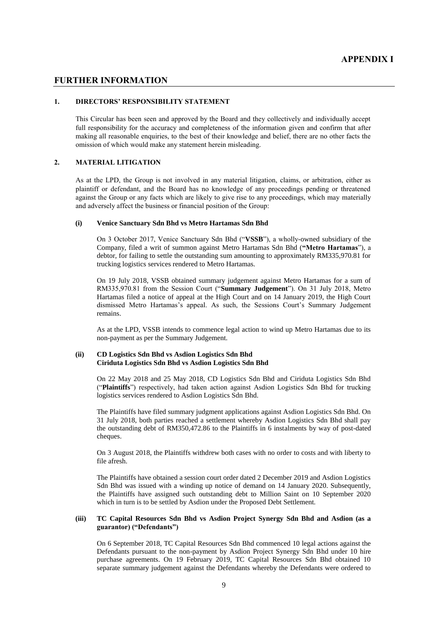## **FURTHER INFORMATION**

#### **1. DIRECTORS' RESPONSIBILITY STATEMENT**

This Circular has been seen and approved by the Board and they collectively and individually accept full responsibility for the accuracy and completeness of the information given and confirm that after making all reasonable enquiries, to the best of their knowledge and belief, there are no other facts the omission of which would make any statement herein misleading.

#### **2. MATERIAL LITIGATION**

As at the LPD, the Group is not involved in any material litigation, claims, or arbitration, either as plaintiff or defendant, and the Board has no knowledge of any proceedings pending or threatened against the Group or any facts which are likely to give rise to any proceedings, which may materially and adversely affect the business or financial position of the Group:

#### **(i) Venice Sanctuary Sdn Bhd vs Metro Hartamas Sdn Bhd**

On 3 October 2017, Venice Sanctuary Sdn Bhd ("**VSSB**"), a wholly-owned subsidiary of the Company, filed a writ of summon against Metro Hartamas Sdn Bhd (**"Metro Hartamas**"), a debtor, for failing to settle the outstanding sum amounting to approximately RM335,970.81 for trucking logistics services rendered to Metro Hartamas.

On 19 July 2018, VSSB obtained summary judgement against Metro Hartamas for a sum of RM335,970.81 from the Session Court ("**Summary Judgement**"). On 31 July 2018, Metro Hartamas filed a notice of appeal at the High Court and on 14 January 2019, the High Court dismissed Metro Hartamas's appeal. As such, the Sessions Court's Summary Judgement remains.

As at the LPD, VSSB intends to commence legal action to wind up Metro Hartamas due to its non-payment as per the Summary Judgement.

#### **(ii) CD Logistics Sdn Bhd vs Asdion Logistics Sdn Bhd Ciriduta Logistics Sdn Bhd vs Asdion Logistics Sdn Bhd**

On 22 May 2018 and 25 May 2018, CD Logistics Sdn Bhd and Ciriduta Logistics Sdn Bhd ("**Plaintiffs**") respectively, had taken action against Asdion Logistics Sdn Bhd for trucking logistics services rendered to Asdion Logistics Sdn Bhd.

The Plaintiffs have filed summary judgment applications against Asdion Logistics Sdn Bhd. On 31 July 2018, both parties reached a settlement whereby Asdion Logistics Sdn Bhd shall pay the outstanding debt of RM350,472.86 to the Plaintiffs in 6 instalments by way of post-dated cheques.

On 3 August 2018, the Plaintiffs withdrew both cases with no order to costs and with liberty to file afresh.

The Plaintiffs have obtained a session court order dated 2 December 2019 and Asdion Logistics Sdn Bhd was issued with a winding up notice of demand on 14 January 2020. Subsequently, the Plaintiffs have assigned such outstanding debt to Million Saint on 10 September 2020 which in turn is to be settled by Asdion under the Proposed Debt Settlement.

#### **(iii) TC Capital Resources Sdn Bhd vs Asdion Project Synergy Sdn Bhd and Asdion (as a guarantor) ("Defendants")**

On 6 September 2018, TC Capital Resources Sdn Bhd commenced 10 legal actions against the Defendants pursuant to the non-payment by Asdion Project Synergy Sdn Bhd under 10 hire purchase agreements. On 19 February 2019, TC Capital Resources Sdn Bhd obtained 10 separate summary judgement against the Defendants whereby the Defendants were ordered to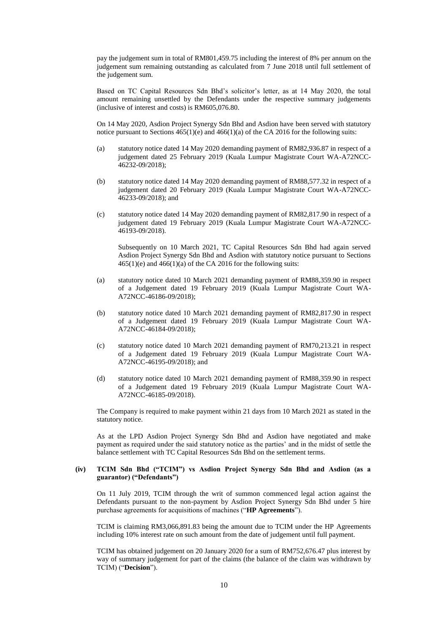pay the judgement sum in total of RM801,459.75 including the interest of 8% per annum on the judgement sum remaining outstanding as calculated from 7 June 2018 until full settlement of the judgement sum.

Based on TC Capital Resources Sdn Bhd's solicitor's letter, as at 14 May 2020, the total amount remaining unsettled by the Defendants under the respective summary judgements (inclusive of interest and costs) is RM605,076.80.

On 14 May 2020, Asdion Project Synergy Sdn Bhd and Asdion have been served with statutory notice pursuant to Sections 465(1)(e) and 466(1)(a) of the CA 2016 for the following suits:

- (a) statutory notice dated 14 May 2020 demanding payment of RM82,936.87 in respect of a judgement dated 25 February 2019 (Kuala Lumpur Magistrate Court WA-A72NCC-46232-09/2018);
- (b) statutory notice dated 14 May 2020 demanding payment of RM88,577.32 in respect of a judgement dated 20 February 2019 (Kuala Lumpur Magistrate Court WA-A72NCC-46233-09/2018); and
- (c) statutory notice dated 14 May 2020 demanding payment of RM82,817.90 in respect of a judgement dated 19 February 2019 (Kuala Lumpur Magistrate Court WA-A72NCC-46193-09/2018).

Subsequently on 10 March 2021, TC Capital Resources Sdn Bhd had again served Asdion Project Synergy Sdn Bhd and Asdion with statutory notice pursuant to Sections  $465(1)(e)$  and  $466(1)(a)$  of the CA 2016 for the following suits:

- (a) statutory notice dated 10 March 2021 demanding payment of RM88,359.90 in respect of a Judgement dated 19 February 2019 (Kuala Lumpur Magistrate Court WA-A72NCC-46186-09/2018);
- (b) statutory notice dated 10 March 2021 demanding payment of RM82,817.90 in respect of a Judgement dated 19 February 2019 (Kuala Lumpur Magistrate Court WA-A72NCC-46184-09/2018);
- (c) statutory notice dated 10 March 2021 demanding payment of RM70,213.21 in respect of a Judgement dated 19 February 2019 (Kuala Lumpur Magistrate Court WA-A72NCC-46195-09/2018); and
- (d) statutory notice dated 10 March 2021 demanding payment of RM88,359.90 in respect of a Judgement dated 19 February 2019 (Kuala Lumpur Magistrate Court WA-A72NCC-46185-09/2018).

The Company is required to make payment within 21 days from 10 March 2021 as stated in the statutory notice.

As at the LPD Asdion Project Synergy Sdn Bhd and Asdion have negotiated and make payment as required under the said statutory notice as the parties' and in the midst of settle the balance settlement with TC Capital Resources Sdn Bhd on the settlement terms.

#### **(iv) TCIM Sdn Bhd ("TCIM") vs Asdion Project Synergy Sdn Bhd and Asdion (as a guarantor) ("Defendants")**

On 11 July 2019, TCIM through the writ of summon commenced legal action against the Defendants pursuant to the non-payment by Asdion Project Synergy Sdn Bhd under 5 hire purchase agreements for acquisitions of machines ("**HP Agreements**").

TCIM is claiming RM3,066,891.83 being the amount due to TCIM under the HP Agreements including 10% interest rate on such amount from the date of judgement until full payment.

TCIM has obtained judgement on 20 January 2020 for a sum of RM752,676.47 plus interest by way of summary judgement for part of the claims (the balance of the claim was withdrawn by TCIM) ("**Decision**").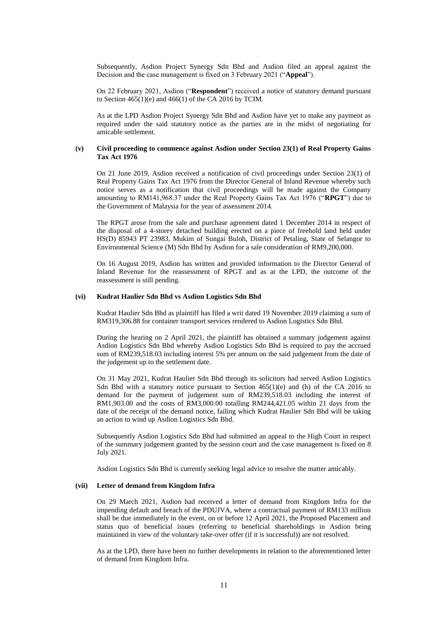Subsequently, Asdion Project Synergy Sdn Bhd and Asdion filed an appeal against the Decision and the case management is fixed on 3 February 2021 ("**Appeal**").

On 22 February 2021, Asdion ("**Respondent**") received a notice of statutory demand pursuant to Section  $465(1)(e)$  and  $466(1)$  of the CA 2016 by TCIM.

As at the LPD Asdion Project Synergy Sdn Bhd and Asdion have yet to make any payment as required under the said statutory notice as the parties are in the midst of negotiating for amicable settlement.

#### **(v) Civil proceeding to commence against Asdion under Section 23(1) of Real Property Gains Tax Act 1976**

On 21 June 2019, Asdion received a notification of civil proceedings under Section 23(1) of Real Property Gains Tax Act 1976 from the Director General of Inland Revenue whereby such notice serves as a notification that civil proceedings will be made against the Company amounting to RM141,968.37 under the Real Property Gains Tax Act 1976 ("**RPGT**") due to the Government of Malaysia for the year of assessment 2014.

The RPGT arose from the sale and purchase agreement dated 1 December 2014 in respect of the disposal of a 4-storey detached building erected on a piece of freehold land held under HS(D) 85943 PT 23983, Mukim of Sungai Buloh, District of Petaling, State of Selangor to Environmental Science (M) Sdn Bhd by Asdion for a sale consideration of RM9,200,000.

On 16 August 2019, Asdion has written and provided information to the Director General of Inland Revenue for the reassessment of RPGT and as at the LPD, the outcome of the reassessment is still pending.

#### **(vi) Kudrat Haulier Sdn Bhd vs Asdion Logistics Sdn Bhd**

Kudrat Haulier Sdn Bhd as plaintiff has filed a writ dated 19 November 2019 claiming a sum of RM319,306.88 for container transport services rendered to Asdion Logistics Sdn Bhd.

During the hearing on 2 April 2021, the plaintiff has obtained a summary judgement against Asdion Logistics Sdn Bhd whereby Asdion Logistics Sdn Bhd is required to pay the accrued sum of RM239,518.03 including interest 5% per annum on the said judgement from the date of the judgement up to the settlement date.

On 31 May 2021, Kudrat Haulier Sdn Bhd through its solicitors had served Asdion Logistics Sdn Bhd with a statutory notice pursuant to Section  $465(1)(e)$  and (h) of the CA 2016 to demand for the payment of judgement sum of RM239,518.03 including the interest of RM1,903.00 and the costs of RM3,000.00 totalling RM244,421.05 within 21 days from the date of the receipt of the demand notice, failing which Kudrat Haulier Sdn Bhd will be taking an action to wind up Asdion Logistics Sdn Bhd.

Subsequently Asdion Logistics Sdn Bhd had submitted an appeal to the High Court in respect of the summary judgement granted by the session court and the case management is fixed on 8 July 2021.

Asdion Logistics Sdn Bhd is currently seeking legal advice to resolve the matter amicably.

#### **(vii) Letter of demand from Kingdom Infra**

On 29 March 2021, Asdion had received a letter of demand from Kingdom Infra for the impending default and breach of the PDUJVA, where a contractual payment of RM133 million shall be due immediately in the event, on or before 12 April 2021, the Proposed Placement and status quo of beneficial issues (referring to beneficial shareholdings in Asdion being maintained in view of the voluntary take-over offer (if it is successful)) are not resolved.

As at the LPD, there have been no further developments in relation to the aforementioned letter of demand from Kingdom Infra.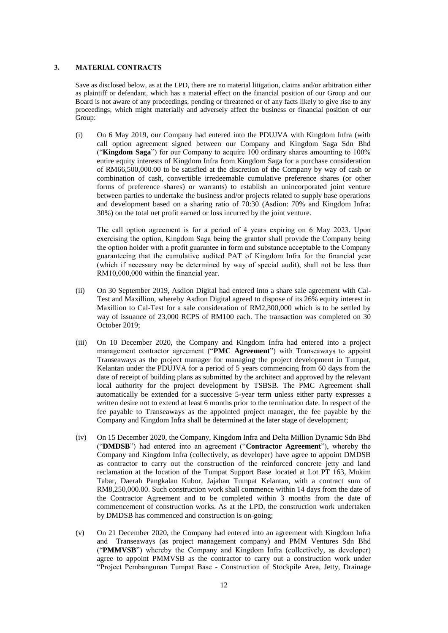#### **3. MATERIAL CONTRACTS**

Save as disclosed below, as at the LPD, there are no material litigation, claims and/or arbitration either as plaintiff or defendant, which has a material effect on the financial position of our Group and our Board is not aware of any proceedings, pending or threatened or of any facts likely to give rise to any proceedings, which might materially and adversely affect the business or financial position of our Group:

(i) On 6 May 2019, our Company had entered into the PDUJVA with Kingdom Infra (with call option agreement signed between our Company and Kingdom Saga Sdn Bhd ("**Kingdom Saga**") for our Company to acquire 100 ordinary shares amounting to 100% entire equity interests of Kingdom Infra from Kingdom Saga for a purchase consideration of RM66,500,000.00 to be satisfied at the discretion of the Company by way of cash or combination of cash, convertible irredeemable cumulative preference shares (or other forms of preference shares) or warrants) to establish an unincorporated joint venture between parties to undertake the business and/or projects related to supply base operations and development based on a sharing ratio of 70:30 (Asdion: 70% and Kingdom Infra: 30%) on the total net profit earned or loss incurred by the joint venture.

The call option agreement is for a period of 4 years expiring on 6 May 2023. Upon exercising the option, Kingdom Saga being the grantor shall provide the Company being the option holder with a profit guarantee in form and substance acceptable to the Company guaranteeing that the cumulative audited PAT of Kingdom Infra for the financial year (which if necessary may be determined by way of special audit), shall not be less than RM10,000,000 within the financial year.

- (ii) On 30 September 2019, Asdion Digital had entered into a share sale agreement with Cal-Test and Maxillion, whereby Asdion Digital agreed to dispose of its 26% equity interest in Maxillion to Cal-Test for a sale consideration of RM2,300,000 which is to be settled by way of issuance of 23,000 RCPS of RM100 each. The transaction was completed on 30 October 2019;
- (iii) On 10 December 2020, the Company and Kingdom Infra had entered into a project management contractor agreement ("**PMC Agreement**") with Transeaways to appoint Transeaways as the project manager for managing the project development in Tumpat, Kelantan under the PDUJVA for a period of 5 years commencing from 60 days from the date of receipt of building plans as submitted by the architect and approved by the relevant local authority for the project development by TSBSB. The PMC Agreement shall automatically be extended for a successive 5-year term unless either party expresses a written desire not to extend at least 6 months prior to the termination date. In respect of the fee payable to Transeaways as the appointed project manager, the fee payable by the Company and Kingdom Infra shall be determined at the later stage of development;
- (iv) On 15 December 2020, the Company, Kingdom Infra and Delta Million Dynamic Sdn Bhd ("**DMDSB**") had entered into an agreement ("**Contractor Agreement**"), whereby the Company and Kingdom Infra (collectively, as developer) have agree to appoint DMDSB as contractor to carry out the construction of the reinforced concrete jetty and land reclamation at the location of the Tumpat Support Base located at Lot PT 163, Mukim Tabar, Daerah Pangkalan Kubor, Jajahan Tumpat Kelantan, with a contract sum of RM8,250,000.00. Such construction work shall commence within 14 days from the date of the Contractor Agreement and to be completed within 3 months from the date of commencement of construction works. As at the LPD, the construction work undertaken by DMDSB has commenced and construction is on-going;
- (v) On 21 December 2020, the Company had entered into an agreement with Kingdom Infra and Transeaways (as project management company) and PMM Ventures Sdn Bhd ("**PMMVSB**") whereby the Company and Kingdom Infra (collectively, as developer) agree to appoint PMMVSB as the contractor to carry out a construction work under "Project Pembangunan Tumpat Base - Construction of Stockpile Area, Jetty, Drainage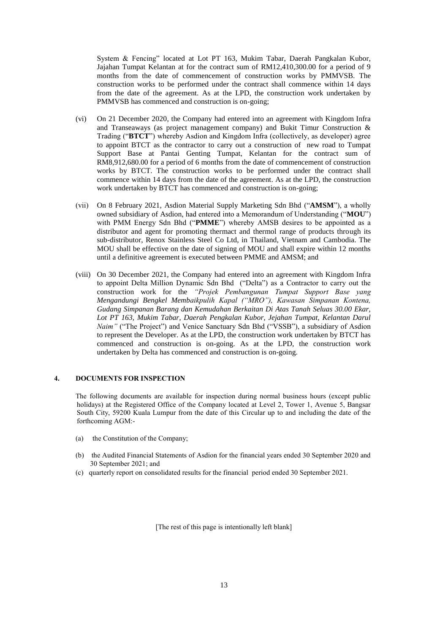System & Fencing" located at Lot PT 163, Mukim Tabar, Daerah Pangkalan Kubor, Jajahan Tumpat Kelantan at for the contract sum of RM12,410,300.00 for a period of 9 months from the date of commencement of construction works by PMMVSB. The construction works to be performed under the contract shall commence within 14 days from the date of the agreement. As at the LPD, the construction work undertaken by PMMVSB has commenced and construction is on-going;

- (vi) On 21 December 2020, the Company had entered into an agreement with Kingdom Infra and Transeaways (as project management company) and Bukit Timur Construction & Trading ("**BTCT**") whereby Asdion and Kingdom Infra (collectively, as developer) agree to appoint BTCT as the contractor to carry out a construction of new road to Tumpat Support Base at Pantai Genting Tumpat, Kelantan for the contract sum of RM8,912,680.00 for a period of 6 months from the date of commencement of construction works by BTCT. The construction works to be performed under the contract shall commence within 14 days from the date of the agreement. As at the LPD, the construction work undertaken by BTCT has commenced and construction is on-going;
- (vii) On 8 February 2021, Asdion Material Supply Marketing Sdn Bhd ("**AMSM**"), a wholly owned subsidiary of Asdion, had entered into a Memorandum of Understanding ("**MOU**") with PMM Energy Sdn Bhd ("**PMME**") whereby AMSB desires to be appointed as a distributor and agent for promoting thermact and thermol range of products through its sub-distributor, Renox Stainless Steel Co Ltd, in Thailand, Vietnam and Cambodia. The MOU shall be effective on the date of signing of MOU and shall expire within 12 months until a definitive agreement is executed between PMME and AMSM; and
- (viii) On 30 December 2021, the Company had entered into an agreement with Kingdom Infra to appoint Delta Million Dynamic Sdn Bhd ("Delta") as a Contractor to carry out the construction work for the *"Projek Pembangunan Tumpat Support Base yang Mengandungi Bengkel Membaikpulih Kapal ("MRO"), Kawasan Simpanan Kontena, Gudang Simpanan Barang dan Kemudahan Berkaitan Di Atas Tanah Seluas 30.00 Ekar, Lot PT 163, Mukim Tabar, Daerah Pengkalan Kubor, Jejahan Tumpat, Kelantan Darul Naim"* ("The Project") and Venice Sanctuary Sdn Bhd ("VSSB"), a subsidiary of Asdion to represent the Developer. As at the LPD, the construction work undertaken by BTCT has commenced and construction is on-going. As at the LPD, the construction work undertaken by Delta has commenced and construction is on-going.

### **4. DOCUMENTS FOR INSPECTION**

The following documents are available for inspection during normal business hours (except public holidays) at the Registered Office of the Company located at Level 2, Tower 1, Avenue 5, Bangsar South City, 59200 Kuala Lumpur from the date of this Circular up to and including the date of the forthcoming AGM:-

- (a) the Constitution of the Company;
- (b) the Audited Financial Statements of Asdion for the financial years ended 30 September 2020 and 30 September 2021; and
- (c) quarterly report on consolidated results for the financial period ended 30 September 2021.